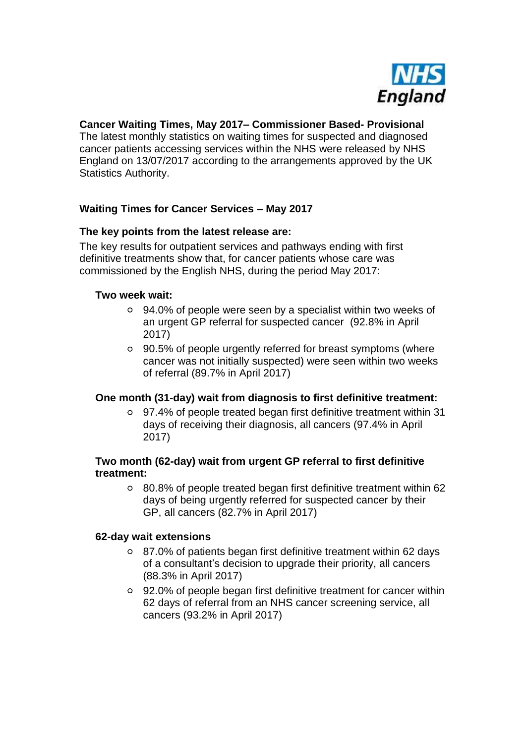

## **Cancer Waiting Times, May 2017– Commissioner Based- Provisional**

The latest monthly statistics on waiting times for suspected and diagnosed cancer patients accessing services within the NHS were released by NHS England on 13/07/2017 according to the arrangements approved by the UK Statistics Authority.

# **Waiting Times for Cancer Services – May 2017**

## **The key points from the latest release are:**

The key results for outpatient services and pathways ending with first definitive treatments show that, for cancer patients whose care was commissioned by the English NHS, during the period May 2017:

#### **Two week wait:**

- 94.0% of people were seen by a specialist within two weeks of an urgent GP referral for suspected cancer (92.8% in April 2017)
- 90.5% of people urgently referred for breast symptoms (where cancer was not initially suspected) were seen within two weeks of referral (89.7% in April 2017)

#### **One month (31-day) wait from diagnosis to first definitive treatment:**

97.4% of people treated began first definitive treatment within 31 days of receiving their diagnosis, all cancers (97.4% in April 2017)

#### **Two month (62-day) wait from urgent GP referral to first definitive treatment:**

80.8% of people treated began first definitive treatment within 62 days of being urgently referred for suspected cancer by their GP, all cancers (82.7% in April 2017)

#### **62-day wait extensions**

- 87.0% of patients began first definitive treatment within 62 days of a consultant's decision to upgrade their priority, all cancers (88.3% in April 2017)
- 92.0% of people began first definitive treatment for cancer within 62 days of referral from an NHS cancer screening service, all cancers (93.2% in April 2017)